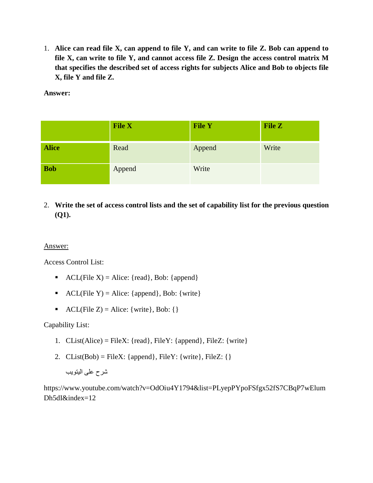1. **Alice can read file X, can append to file Y, and can write to file Z. Bob can append to file X, can write to file Y, and cannot access file Z. Design the access control matrix M that specifies the described set of access rights for subjects Alice and Bob to objects file X, file Y and file Z.**

**Answer:**

|              | <b>File X</b> | <b>File Y</b> | <b>File Z</b> |
|--------------|---------------|---------------|---------------|
| <b>Alice</b> | Read          | Append        | Write         |
| <b>Bob</b>   | Append        | Write         |               |

2. **Write the set of access control lists and the set of capability list for the previous question (Q1).**

## Answer:

Access Control List:

- ACL(File X) = Alice: {read}, Bob: {append}
- ACL(File Y) = Alice: {append}, Bob: {write}
- ACL(File Z) = Alice: {write}, Bob: {}

Capability List:

- 1. CList(Alice) = FileX: { $read$ }, FileY: { $append$ }, FileZ: {write}
- 2. CList(Bob) = FileX: {append}, FileY: {write}, FileZ: {}

شرح على اليتويب

https://www.youtube.com/watch?v=OdOiu4Y1794&list=PLyepPYpoFSfgx52fS7CBqP7wElum Dh5dI&index=12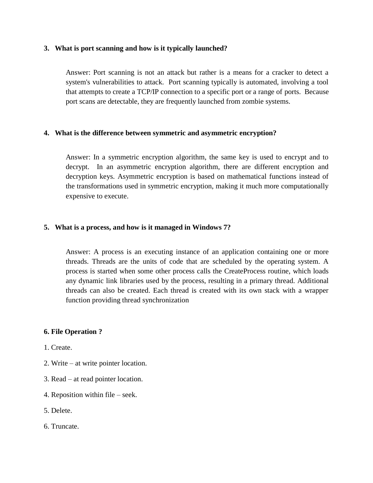#### **3. What is port scanning and how is it typically launched?**

Answer: Port scanning is not an attack but rather is a means for a cracker to detect a system's vulnerabilities to attack. Port scanning typically is automated, involving a tool that attempts to create a TCP/IP connection to a specific port or a range of ports. Because port scans are detectable, they are frequently launched from zombie systems.

## **4. What is the difference between symmetric and asymmetric encryption?**

Answer: In a symmetric encryption algorithm, the same key is used to encrypt and to decrypt. In an asymmetric encryption algorithm, there are different encryption and decryption keys. Asymmetric encryption is based on mathematical functions instead of the transformations used in symmetric encryption, making it much more computationally expensive to execute.

## **5. What is a process, and how is it managed in Windows 7?**

Answer: A process is an executing instance of an application containing one or more threads. Threads are the units of code that are scheduled by the operating system. A process is started when some other process calls the CreateProcess routine, which loads any dynamic link libraries used by the process, resulting in a primary thread. Additional threads can also be created. Each thread is created with its own stack with a wrapper function providing thread synchronization

#### **6. File Operation ?**

- 1. Create.
- 2. Write at write pointer location.
- 3. Read at read pointer location.
- 4. Reposition within file seek.
- 5. Delete.
- 6. Truncate.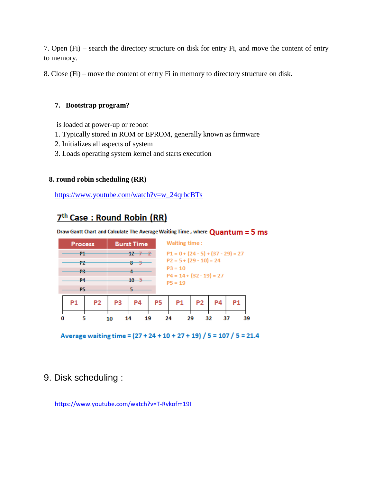7. Open (Fi) – search the directory structure on disk for entry Fi, and move the content of entry to memory.

8. Close (Fi) – move the content of entry Fi in memory to directory structure on disk.

## **7. Bootstrap program?**

is loaded at power-up or reboot

- 1. Typically stored in ROM or EPROM, generally known as firmware
- 2. Initializes all aspects of system
- 3. Loads operating system kernel and starts execution

## **8. round robin scheduling (RR)**

[https://www.youtube.com/watch?v=w\\_24qrbcBTs](https://www.youtube.com/watch?v=w_24qrbcBTs)

# 7<sup>th</sup> Case: Round Robin (RR)

Draw Gantt Chart and Calculate The Average Waiting Time, where  $Quantum = 5 ms$ 

| <b>Process</b> |              | Waiting time:<br><b>Burst Time</b> |                                         |    |    |  |    |  |
|----------------|--------------|------------------------------------|-----------------------------------------|----|----|--|----|--|
| 71             | $12 - 7 - 2$ |                                    | $P1 = 0 + (24 - 5) + (37 - 29) = 27$    |    |    |  |    |  |
| 72             | 8—3          |                                    | $P2 = 5 + (29 - 10) = 24$               |    |    |  |    |  |
| - 19           |              |                                    | $P3 = 10$                               |    |    |  |    |  |
| <b>P4</b>      | $10-5$       |                                    | $P4 = 14 + (32 - 19) = 27$<br>$P5 = 19$ |    |    |  |    |  |
| <b>P5</b>      |              |                                    |                                         |    |    |  |    |  |
| P <sub>2</sub> | P4<br>P3     | P5                                 | P1                                      | P2 | P4 |  |    |  |
|                | 10           | 19                                 | 24                                      | 29 | 32 |  | 39 |  |

Average waiting time = (27 + 24 + 10 + 27 + 19) / 5 = 107 / 5 = 21.4

## 9. Disk scheduling :

<https://www.youtube.com/watch?v=T-Rvkofm19I>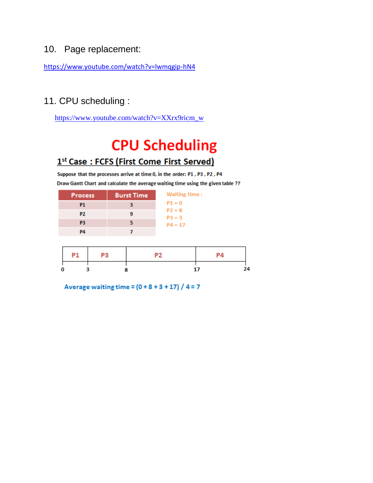## 10. Page replacement:

<https://www.youtube.com/watch?v=lwmqgip-hN4>

## 11. CPU scheduling :

[https://www.youtube.com/watch?v=XXrx9ricm\\_w](https://www.youtube.com/watch?v=XXrx9ricm_w)

# **CPU Scheduling**

## 1st Case: FCFS (First Come First Served)

Suppose that the processes arrive at time 0, in the order: P1, P3, P2, P4 Draw Gantt Chart and calculate the average waiting time using the given table ??

| <b>Process</b> | <b>Burst Time</b> | Waiting time:        |
|----------------|-------------------|----------------------|
| P1             |                   | $P1 = 0$             |
| P2.            |                   | $P2 = 8$<br>$P3 = 3$ |
| P3             |                   | $P4 = 17$            |
| PД             |                   |                      |

| P1 | P3 | PΔ |    |
|----|----|----|----|
|    |    |    | 94 |

Average waiting time =  $(0 + 8 + 3 + 17) / 4 = 7$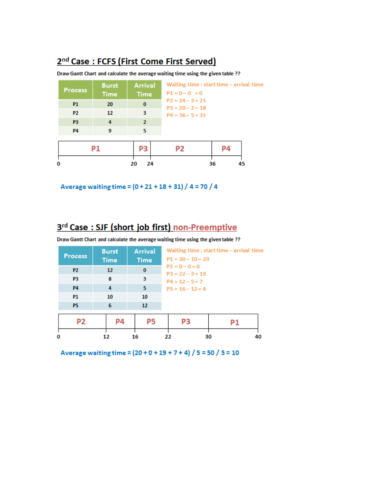# 2<sup>nd</sup> Case: FCFS (First Come First Served)

Draw Gantt Chart and calculate the average waiting time using the given table ??

| <b>Process</b>         | <b>Burst</b><br><b>Time</b> | <b>Arrival</b><br><b>Time</b> | Waiting time: start time - arrival time<br>$P1 = 0 - 0 = 0$ |    |    |
|------------------------|-----------------------------|-------------------------------|-------------------------------------------------------------|----|----|
| <b>P1</b><br><b>P2</b> | 20<br>12                    | $\bf{0}$<br>3                 | $P2 = 24 - 3 = 21$<br>$P3 = 20 - 2 = 18$                    |    |    |
| P <sub>3</sub>         | 4                           | $\mathbf{2}$                  | $P4 = 36 - 5 = 31$                                          |    |    |
| <b>P4</b>              | 9                           | 5.                            |                                                             |    |    |
|                        | P1                          | РЗ                            | P2                                                          | P4 |    |
|                        |                             | 24<br>20                      |                                                             | 36 | 45 |

Average waiting time =  $(0 + 21 + 18 + 31) / 4 = 70 / 4$ 

# 3rd Case: SJF (short job first) non-Preemptive

Draw Gantt Chart and calculate the average waiting time using the given table ??

| <b>Process</b> | <b>Burst</b><br><b>Time</b> | <b>Arrival</b><br><b>Time</b> |                   | $P1 = 30 - 10 = 20$ | Waiting time: start time - arrival time |    |
|----------------|-----------------------------|-------------------------------|-------------------|---------------------|-----------------------------------------|----|
| <b>P2</b>      | 12 <sup>2</sup>             | $\bf{0}$                      | $P2 = 0 - 0 = 0$  | $P3 = 22 - 3 = 19$  |                                         |    |
| P <sub>3</sub> | 8                           | 3                             | $P4 = 12 - 5 = 7$ |                     |                                         |    |
| <b>P4</b>      | 4                           | 5.                            |                   | $P5 = 16 - 12 = 4$  |                                         |    |
| <b>P1</b>      | 10                          | 10                            |                   |                     |                                         |    |
| <b>P5</b>      | 6                           | 12                            |                   |                     |                                         |    |
| P2             | P4                          | P5                            |                   | P3                  | P1                                      |    |
| 0              | 12                          | 16                            | 22                |                     | 30                                      | 40 |

Average waiting time =  $(20 + 0 + 19 + 7 + 4)$  / 5 = 50 / 5 = 10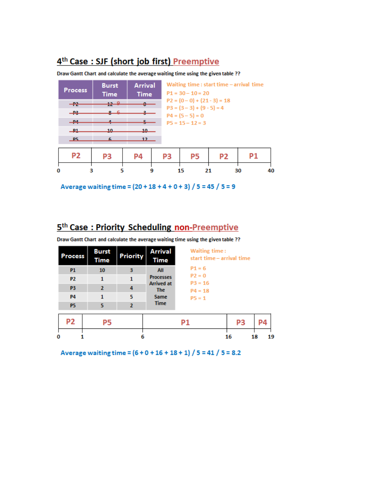# 4<sup>th</sup> Case: SJF (short job first) Preemptive

#### Draw Gantt Chart and calculate the average waiting time using the given table ??

| <b>Process</b>              | <b>Burst</b><br><b>Time</b> | <b>Arrival</b><br><b>Time</b> |    | Waiting time : start time - arrival time<br>$P1 = 30 - 10 = 20$                  |                |    |    |  |  |  |
|-----------------------------|-----------------------------|-------------------------------|----|----------------------------------------------------------------------------------|----------------|----|----|--|--|--|
| $-$ <del>P2</del><br>$-$ P3 | $+2$ $+2$<br>$8 - 6$        | ۰                             |    | $P2 = (0 - 0) + (21 - 3) = 18$<br>$P3 = (3-3) + (9-5) = 4$<br>$P4 = (5 - 5) = 0$ |                |    |    |  |  |  |
| $-14$                       |                             |                               |    | $P5 = 15 - 12 = 3$                                                               |                |    |    |  |  |  |
| $-11$<br>P5                 | 10<br>6                     | $10-$<br>12 <sub>12</sub>     |    |                                                                                  |                |    |    |  |  |  |
|                             |                             |                               |    |                                                                                  |                |    |    |  |  |  |
| P <sub>2</sub>              | PЗ                          | P4                            | P3 | P5                                                                               | P <sub>2</sub> | P1 |    |  |  |  |
| 0                           |                             |                               |    | 15                                                                               | 21             | 30 | 40 |  |  |  |

Average waiting time =  $(20 + 18 + 4 + 0 + 3)$  / 5 = 45 / 5 = 9

# 5th Case: Priority Scheduling non-Preemptive

Draw Gantt Chart and calculate the average waiting time using the given table ??

| <b>Process</b> | <b>Burst</b><br>Time | Priority       | <b>Arrival</b><br><b>Time</b>   | Waiting time:<br>start time - arrival time |                |    |    |
|----------------|----------------------|----------------|---------------------------------|--------------------------------------------|----------------|----|----|
| <b>P1</b>      | 10                   | з              | All                             | $P1 = 6$                                   |                |    |    |
| <b>P2</b>      | 1                    | 1              | <b>Processes</b>                | $P2 = 0$<br>$P3 = 16$                      |                |    |    |
| P <sub>3</sub> | $\mathbf{z}$         | 4              | <b>Arrived at</b><br><b>The</b> | $P4 = 18$                                  |                |    |    |
| <b>P4</b>      | 1                    | 5              | <b>Same</b>                     | $P5 = 1$                                   |                |    |    |
| <b>P5</b>      | 5.                   | $\overline{2}$ | <b>Time</b>                     |                                            |                |    |    |
| P2             | Р5                   |                |                                 | P1                                         | P <sub>3</sub> |    | P4 |
| 0              |                      | 6              |                                 |                                            | 16             | 18 | 19 |

Average waiting time =  $(6 + 0 + 16 + 18 + 1)$  / 5 = 41 / 5 = 8.2